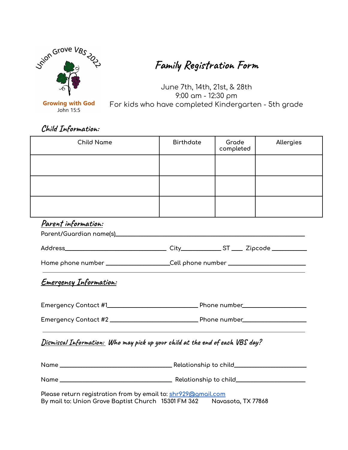

## **Family Registration Form**

June 7th, 14th, 21st, & 28th 9:00 am - 12:30 pm For kids who have completed Kindergarten - 5th grade

**Child Information:**

| <b>Child Name</b>                                                                    | <b>Birthdate</b>                                                                 | Grade<br>completed | Allergies |  |  |
|--------------------------------------------------------------------------------------|----------------------------------------------------------------------------------|--------------------|-----------|--|--|
|                                                                                      |                                                                                  |                    |           |  |  |
|                                                                                      |                                                                                  |                    |           |  |  |
|                                                                                      |                                                                                  |                    |           |  |  |
| Parent information:                                                                  |                                                                                  |                    |           |  |  |
|                                                                                      |                                                                                  |                    |           |  |  |
|                                                                                      | Home phone number ____________________Cell phone number ________________________ |                    |           |  |  |
| <u>Emergency Information:</u>                                                        |                                                                                  |                    |           |  |  |
|                                                                                      |                                                                                  |                    |           |  |  |
|                                                                                      |                                                                                  |                    |           |  |  |
| <u>Dismissal Information:</u> Who may pick up your child at the end of each VBS day? |                                                                                  |                    |           |  |  |
|                                                                                      |                                                                                  |                    |           |  |  |
|                                                                                      |                                                                                  |                    |           |  |  |

**By mail to: Union Grove Baptist Church 15301 FM 362 Navasota, TX 77868**